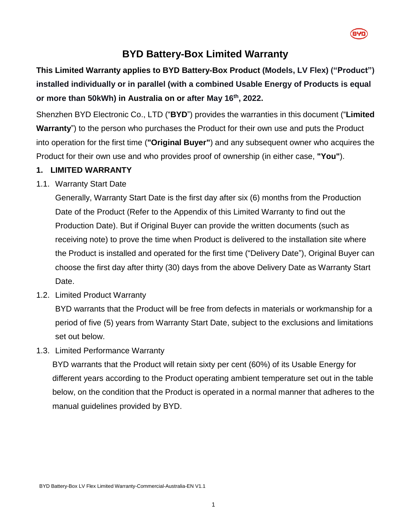

## **BYD Battery-Box Limited Warranty**

# **This Limited Warranty applies to BYD Battery-Box Product (Models, LV Flex) ("Product") installed individually or in parallel (with a combined Usable Energy of Products is equal or more than 50kWh) in Australia on or after May 16 th , 2022.**

Shenzhen BYD Electronic Co., LTD ("**BYD**") provides the warranties in this document ("**Limited Warranty**") to the person who purchases the Product for their own use and puts the Product into operation for the first time (**"Original Buyer"**) and any subsequent owner who acquires the Product for their own use and who provides proof of ownership (in either case, **"You"**).

#### **1. LIMITED WARRANTY**

1.1. Warranty Start Date

Generally, Warranty Start Date is the first day after six (6) months from the Production Date of the Product (Refer to the Appendix of this Limited Warranty to find out the Production Date). But if Original Buyer can provide the written documents (such as receiving note) to prove the time when Product is delivered to the installation site where the Product is installed and operated for the first time ("Delivery Date"), Original Buyer can choose the first day after thirty (30) days from the above Delivery Date as Warranty Start Date.

<span id="page-0-1"></span>1.2. Limited Product Warranty

BYD warrants that the Product will be free from defects in materials or workmanship for a period of five (5) years from Warranty Start Date, subject to the exclusions and limitations set out below.

<span id="page-0-0"></span>1.3. Limited Performance Warranty

BYD warrants that the Product will retain sixty per cent (60%) of its Usable Energy for different years according to the Product operating ambient temperature set out in the table below, on the condition that the Product is operated in a normal manner that adheres to the manual guidelines provided by BYD.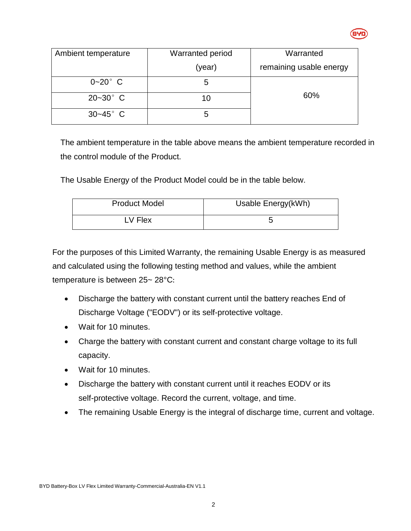

| Ambient temperature | <b>Warranted period</b> | Warranted               |
|---------------------|-------------------------|-------------------------|
|                     | (year)                  | remaining usable energy |
| $0 - 20$ ° C        | 5                       |                         |
| $20 - 30^{\circ}$ C | 10                      | 60%                     |
| $30 - 45^{\circ}$ C | :C                      |                         |

The ambient temperature in the table above means the ambient temperature recorded in the control module of the Product.

The Usable Energy of the Product Model could be in the table below.

| <b>Product Model</b> | Usable Energy(kWh) |
|----------------------|--------------------|
| LV Flex              |                    |

For the purposes of this Limited Warranty, the remaining Usable Energy is as measured and calculated using the following testing method and values, while the ambient temperature is between 25~ 28°C:

- Discharge the battery with constant current until the battery reaches End of Discharge Voltage ("EODV") or its self-protective voltage.
- Wait for 10 minutes.
- Charge the battery with constant current and constant charge voltage to its full capacity.
- Wait for 10 minutes.
- Discharge the battery with constant current until it reaches EODV or its self-protective voltage. Record the current, voltage, and time.
- The remaining Usable Energy is the integral of discharge time, current and voltage.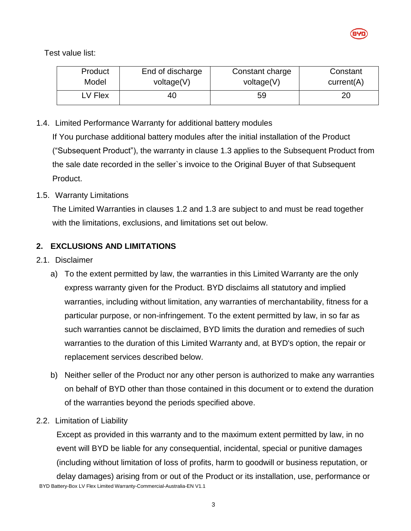

Test value list:

| Product | End of discharge | Constant charge | Constant   |
|---------|------------------|-----------------|------------|
| Model   | voltage(V)       | voltage(V)      | current(A) |
| V Flex  | 40               | 59              |            |

1.4. Limited Performance Warranty for additional battery modules

If You purchase additional battery modules after the initial installation of the Product ("Subsequent Product"), the warranty in clause [1.3](#page-0-0) applies to the Subsequent Product from the sale date recorded in the seller`s invoice to the Original Buyer of that Subsequent Product.

#### 1.5. Warranty Limitations

The Limited Warranties in clauses [1.2](#page-0-1) and [1.3](#page-0-0) are subject to and must be read together with the limitations, exclusions, and limitations set out below.

#### **2. EXCLUSIONS AND LIMITATIONS**

- 2.1. Disclaimer
	- a) To the extent permitted by law, the warranties in this Limited Warranty are the only express warranty given for the Product. BYD disclaims all statutory and implied warranties, including without limitation, any warranties of merchantability, fitness for a particular purpose, or non-infringement. To the extent permitted by law, in so far as such warranties cannot be disclaimed, BYD limits the duration and remedies of such warranties to the duration of this Limited Warranty and, at BYD's option, the repair or replacement services described below.
	- b) Neither seller of the Product nor any other person is authorized to make any warranties on behalf of BYD other than those contained in this document or to extend the duration of the warranties beyond the periods specified above.
- 2.2. Limitation of Liability

BYD Battery-Box LV Flex Limited Warranty-Commercial-Australia-EN V1.1 Except as provided in this warranty and to the maximum extent permitted by law, in no event will BYD be liable for any consequential, incidental, special or punitive damages (including without limitation of loss of profits, harm to goodwill or business reputation, or delay damages) arising from or out of the Product or its installation, use, performance or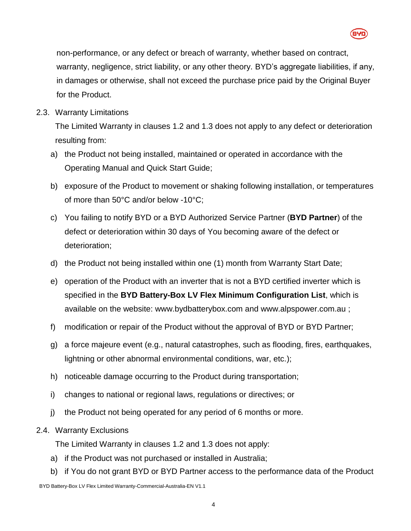

non-performance, or any defect or breach of warranty, whether based on contract, warranty, negligence, strict liability, or any other theory. BYD's aggregate liabilities, if any, in damages or otherwise, shall not exceed the purchase price paid by the Original Buyer for the Product.

2.3. Warranty Limitations

The Limited Warranty in clauses [1.2](#page-0-1) and [1.3](#page-0-0) does not apply to any defect or deterioration resulting from:

- a) the Product not being installed, maintained or operated in accordance with the Operating Manual and Quick Start Guide;
- b) exposure of the Product to movement or shaking following installation, or temperatures of more than 50°C and/or below -10°C;
- c) You failing to notify BYD or a BYD Authorized Service Partner (**BYD Partner**) of the defect or deterioration within 30 days of You becoming aware of the defect or deterioration;
- d) the Product not being installed within one (1) month from Warranty Start Date;
- e) operation of the Product with an inverter that is not a BYD certified inverter which is specified in the **BYD Battery-Box LV Flex Minimum Configuration List**, which is available on the website: [www.bydbatterybox.com](http://www.bydbatterybox.com/) and www.alpspower.com.au ;
- f) modification or repair of the Product without the approval of BYD or BYD Partner;
- g) a force majeure event (e.g., natural catastrophes, such as flooding, fires, earthquakes, lightning or other abnormal environmental conditions, war, etc.);
- h) noticeable damage occurring to the Product during transportation;
- i) changes to national or regional laws, regulations or directives; or
- j) the Product not being operated for any period of 6 months or more.
- 2.4. Warranty Exclusions

The Limited Warranty in clauses [1.2](#page-0-1) and [1.3](#page-0-0) does not apply:

- a) if the Product was not purchased or installed in Australia;
- b) if You do not grant BYD or BYD Partner access to the performance data of the Product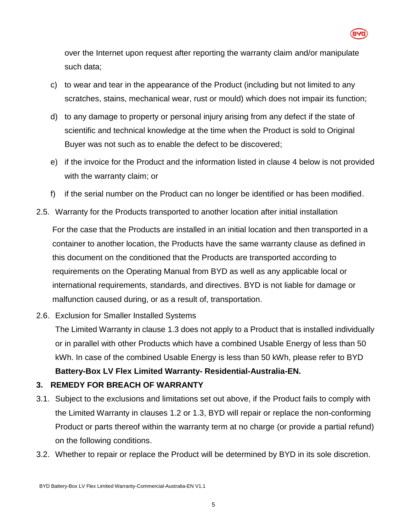

over the Internet upon request after reporting the warranty claim and/or manipulate such data;

- c) to wear and tear in the appearance of the Product (including but not limited to any scratches, stains, mechanical wear, rust or mould) which does not impair its function;
- d) to any damage to property or personal injury arising from any defect if the state of scientific and technical knowledge at the time when the Product is sold to Original Buyer was not such as to enable the defect to be discovered;
- e) if the invoice for the Product and the information listed in clause [4](#page-5-0) below is not provided with the warranty claim; or
- f) if the serial number on the Product can no longer be identified or has been modified.
- 2.5. Warranty for the Products transported to another location after initial installation

For the case that the Products are installed in an initial location and then transported in a container to another location, the Products have the same warranty clause as defined in this document on the conditioned that the Products are transported according to requirements on the Operating Manual from BYD as well as any applicable local or international requirements, standards, and directives. BYD is not liable for damage or malfunction caused during, or as a result of, transportation.

2.6. Exclusion for Smaller Installed Systems

The Limited Warranty in clause [1.3](#page-0-0) does not apply to a Product that is installed individually or in parallel with other Products which have a combined Usable Energy of less than 50 kWh. In case of the combined Usable Energy is less than 50 kWh, please refer to BYD

- **Battery-Box LV Flex Limited Warranty- Residential-Australia-EN. 3. REMEDY FOR BREACH OF WARRANTY**
- 3.1. Subject to the exclusions and limitations set out above, if the Product fails to comply with the Limited Warranty in clauses [1.2](#page-0-1) or [1.3,](#page-0-0) BYD will repair or replace the non-conforming Product or parts thereof within the warranty term at no charge (or provide a partial refund) on the following conditions.
- 3.2. Whether to repair or replace the Product will be determined by BYD in its sole discretion.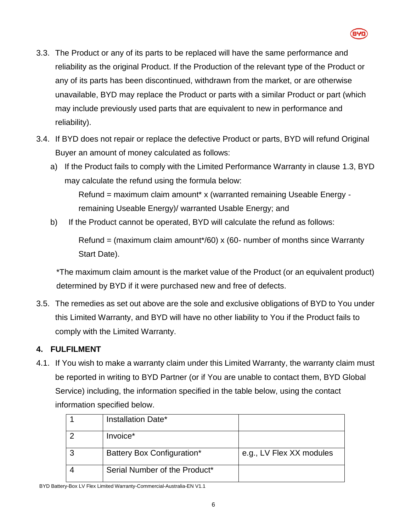- 3.3. The Product or any of its parts to be replaced will have the same performance and reliability as the original Product. If the Production of the relevant type of the Product or any of its parts has been discontinued, withdrawn from the market, or are otherwise unavailable, BYD may replace the Product or parts with a similar Product or part (which may include previously used parts that are equivalent to new in performance and reliability).
- 3.4. If BYD does not repair or replace the defective Product or parts, BYD will refund Original Buyer an amount of money calculated as follows:
	- a) If the Product fails to comply with the Limited Performance Warranty in clause [1.3,](#page-0-0) BYD may calculate the refund using the formula below:

Refund = maximum claim amount\* x (warranted remaining Useable Energy remaining Useable Energy)/ warranted Usable Energy; and

b) If the Product cannot be operated, BYD will calculate the refund as follows:

Refund = (maximum claim amount\*/60) x (60- number of months since Warranty Start Date).

\*The maximum claim amount is the market value of the Product (or an equivalent product) determined by BYD if it were purchased new and free of defects.

3.5. The remedies as set out above are the sole and exclusive obligations of BYD to You under this Limited Warranty, and BYD will have no other liability to You if the Product fails to comply with the Limited Warranty.

## <span id="page-5-0"></span>**4. FULFILMENT**

4.1. If You wish to make a warranty claim under this Limited Warranty, the warranty claim must be reported in writing to BYD Partner (or if You are unable to contact them, BYD Global Service) including, the information specified in the table below, using the contact information specified below.

| Installation Date*            |                          |
|-------------------------------|--------------------------|
| Invoice*                      |                          |
| Battery Box Configuration*    | e.g., LV Flex XX modules |
| Serial Number of the Product* |                          |

6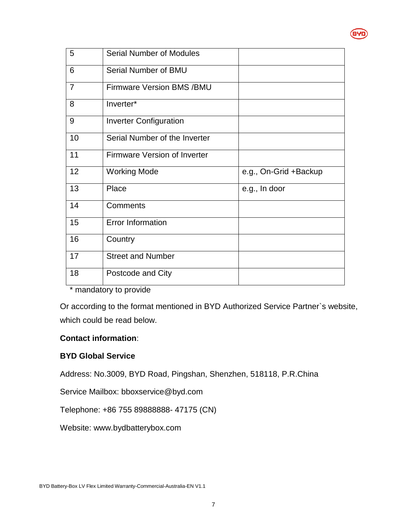

| 5              | <b>Serial Number of Modules</b>     |                       |
|----------------|-------------------------------------|-----------------------|
| 6              | Serial Number of BMU                |                       |
| $\overline{7}$ | <b>Firmware Version BMS /BMU</b>    |                       |
| 8              | Inverter*                           |                       |
| 9              | <b>Inverter Configuration</b>       |                       |
| 10             | Serial Number of the Inverter       |                       |
| 11             | <b>Firmware Version of Inverter</b> |                       |
| 12             | <b>Working Mode</b>                 | e.g., On-Grid +Backup |
| 13             | Place                               | e.g., In door         |
| 14             | Comments                            |                       |
| 15             | <b>Error Information</b>            |                       |
| 16             | Country                             |                       |
| 17             | <b>Street and Number</b>            |                       |
| 18             | Postcode and City                   |                       |

\* mandatory to provide

Or according to the format mentioned in BYD Authorized Service Partner`s website, which could be read below.

#### **Contact information**:

#### **BYD Global Service**

Address: No.3009, BYD Road, Pingshan, Shenzhen, 518118, P.R.China

Service Mailbox: bboxservice@byd.com

Telephone: +86 755 89888888- 47175 (CN)

Website: www.bydbatterybox.com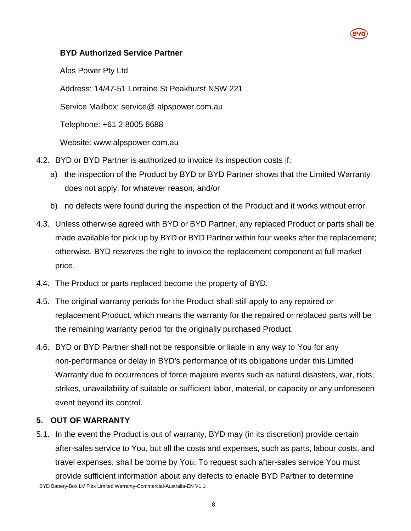#### **BYD Authorized Service Partner**

Alps Power Pty Ltd

Address: 14/47-51 Lorraine St Peakhurst NSW 221

Service Mailbox: service@ alpspower.com.au

Telephone: +61 2 8005 6688

Website: www.alpspower.com.au

- 4.2. BYD or BYD Partner is authorized to invoice its inspection costs if:
	- a) the inspection of the Product by BYD or BYD Partner shows that the Limited Warranty does not apply, for whatever reason; and/or
	- b) no defects were found during the inspection of the Product and it works without error.
- 4.3. Unless otherwise agreed with BYD or BYD Partner, any replaced Product or parts shall be made available for pick up by BYD or BYD Partner within four weeks after the replacement; otherwise, BYD reserves the right to invoice the replacement component at full market price.
- 4.4. The Product or parts replaced become the property of BYD.
- 4.5. The original warranty periods for the Product shall still apply to any repaired or replacement Product, which means the warranty for the repaired or replaced parts will be the remaining warranty period for the originally purchased Product.
- 4.6. BYD or BYD Partner shall not be responsible or liable in any way to You for any non-performance or delay in BYD's performance of its obligations under this Limited Warranty due to occurrences of force majeure events such as natural disasters, war, riots, strikes, unavailability of suitable or sufficient labor, material, or capacity or any unforeseen event beyond its control.

### **5. OUT OF WARRANTY**

BYD Battery-Box LV Flex Limited Warranty-Commercial-Australia-EN V1.1 5.1. In the event the Product is out of warranty, BYD may (in its discretion) provide certain after-sales service to You, but all the costs and expenses, such as parts, labour costs, and travel expenses, shall be borne by You. To request such after-sales service You must provide sufficient information about any defects to enable BYD Partner to determine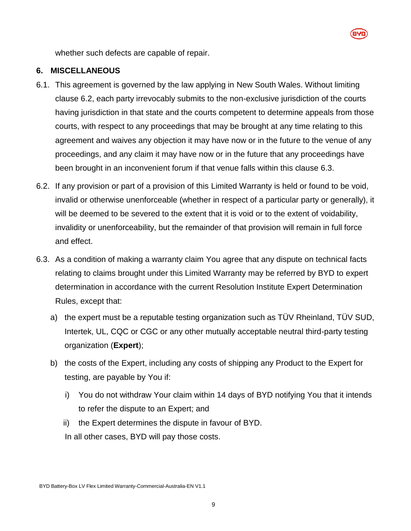

whether such defects are capable of repair.

#### **6. MISCELLANEOUS**

- 6.1. This agreement is governed by the law applying in New South Wales. Without limiting clause [6.2,](#page-8-0) each party irrevocably submits to the non-exclusive jurisdiction of the courts having jurisdiction in that state and the courts competent to determine appeals from those courts, with respect to any proceedings that may be brought at any time relating to this agreement and waives any objection it may have now or in the future to the venue of any proceedings, and any claim it may have now or in the future that any proceedings have been brought in an inconvenient forum if that venue falls within this clause [6.3.](#page-8-1)
- <span id="page-8-0"></span>6.2. If any provision or part of a provision of this Limited Warranty is held or found to be void, invalid or otherwise unenforceable (whether in respect of a particular party or generally), it will be deemed to be severed to the extent that it is void or to the extent of voidability, invalidity or unenforceability, but the remainder of that provision will remain in full force and effect.
- <span id="page-8-1"></span>6.3. As a condition of making a warranty claim You agree that any dispute on technical facts relating to claims brought under this Limited Warranty may be referred by BYD to expert determination in accordance with the current Resolution Institute Expert Determination Rules, except that:
	- a) the expert must be a reputable testing organization such as TÜV Rheinland, TÜV SUD, Intertek, UL, CQC or CGC or any other mutually acceptable neutral third-party testing organization (**Expert**);
	- b) the costs of the Expert, including any costs of shipping any Product to the Expert for testing, are payable by You if:
		- i) You do not withdraw Your claim within 14 days of BYD notifying You that it intends to refer the dispute to an Expert; and
		- ii) the Expert determines the dispute in favour of BYD. In all other cases, BYD will pay those costs.

BYD Battery-Box LV Flex Limited Warranty-Commercial-Australia-EN V1.1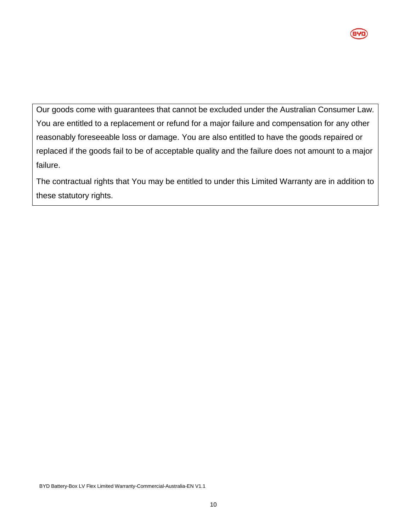

Our goods come with guarantees that cannot be excluded under the Australian Consumer Law. You are entitled to a replacement or refund for a major failure and compensation for any other reasonably foreseeable loss or damage. You are also entitled to have the goods repaired or replaced if the goods fail to be of acceptable quality and the failure does not amount to a major failure.

The contractual rights that You may be entitled to under this Limited Warranty are in addition to these statutory rights.